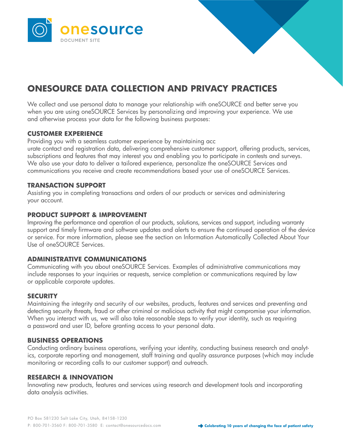

# **ONESOURCE DATA COLLECTION AND PRIVACY PRACTICES**

We collect and use personal data to manage your relationship with oneSOURCE and better serve you when you are using oneSOURCE Services by personalizing and improving your experience. We use and otherwise process your data for the following business purposes:

# **CUSTOMER EXPERIENCE**

Providing you with a seamless customer experience by maintaining acc

urate contact and registration data, delivering comprehensive customer support, offering products, services, subscriptions and features that may interest you and enabling you to participate in contests and surveys. We also use your data to deliver a tailored experience, personalize the oneSOURCE Services and communications you receive and create recommendations based your use of oneSOURCE Services.

## **TRANSACTION SUPPORT**

Assisting you in completing transactions and orders of our products or services and administering your account.

## **PRODUCT SUPPORT & IMPROVEMENT**

Improving the performance and operation of our products, solutions, services and support, including warranty support and timely firmware and software updates and alerts to ensure the continued operation of the device or service. For more information, please see the section on Information Automatically Collected About Your Use of oneSOURCE Services.

## **ADMINISTRATIVE COMMUNICATIONS**

Communicating with you about oneSOURCE Services. Examples of administrative communications may include responses to your inquiries or requests, service completion or communications required by law or applicable corporate updates.

## **SECURITY**

Maintaining the integrity and security of our websites, products, features and services and preventing and detecting security threats, fraud or other criminal or malicious activity that might compromise your information. When you interact with us, we will also take reasonable steps to verify your identity, such as requiring a password and user ID, before granting access to your personal data.

## **BUSINESS OPERATIONS**

Conducting ordinary business operations, verifying your identity, conducting business research and analytics, corporate reporting and management, staff training and quality assurance purposes (which may include monitoring or recording calls to our customer support) and outreach.

## **RESEARCH & INNOVATION**

Innovating new products, features and services using research and development tools and incorporating data analysis activities.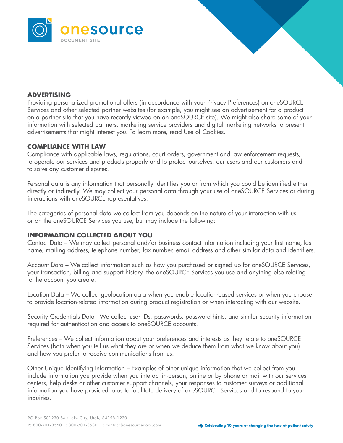



# **ADVERTISING**

Providing personalized promotional offers (in accordance with your Privacy Preferences) on oneSOURCE Services and other selected partner websites (for example, you might see an advertisement for a product on a partner site that you have recently viewed on an oneSOURCE site). We might also share some of your information with selected partners, marketing service providers and digital marketing networks to present advertisements that might interest you. To learn more, read Use of Cookies.

## **COMPLIANCE WITH LAW**

Compliance with applicable laws, regulations, court orders, government and law enforcement requests, to operate our services and products properly and to protect ourselves, our users and our customers and to solve any customer disputes.

Personal data is any information that personally identifies you or from which you could be identified either directly or indirectly. We may collect your personal data through your use of oneSOURCE Services or during interactions with oneSOURCE representatives.

The categories of personal data we collect from you depends on the nature of your interaction with us or on the oneSOURCE Services you use, but may include the following:

## **INFORMATION COLLECTED ABOUT YOU**

Contact Data – We may collect personal and/or business contact information including your first name, last name, mailing address, telephone number, fax number, email address and other similar data and identifiers.

Account Data – We collect information such as how you purchased or signed up for oneSOURCE Services, your transaction, billing and support history, the oneSOURCE Services you use and anything else relating to the account you create.

Location Data – We collect geolocation data when you enable location-based services or when you choose to provide location-related information during product registration or when interacting with our website.

Security Credentials Data– We collect user IDs, passwords, password hints, and similar security information required for authentication and access to oneSOURCE accounts.

Preferences – We collect information about your preferences and interests as they relate to oneSOURCE Services (both when you tell us what they are or when we deduce them from what we know about you) and how you prefer to receive communications from us.

Other Unique Identifying Information – Examples of other unique information that we collect from you include information you provide when you interact in-person, online or by phone or mail with our services centers, help desks or other customer support channels, your responses to customer surveys or additional information you have provided to us to facilitate delivery of oneSOURCE Services and to respond to your inquiries.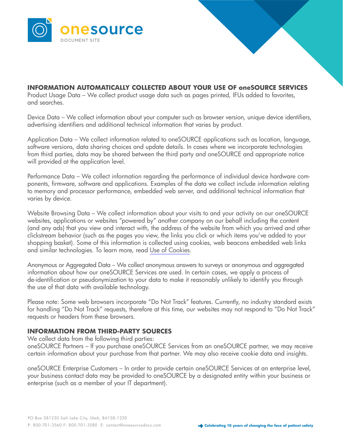

**INFORMATION AUTOMATICALLY COLLECTED ABOUT YOUR USE OF oneSOURCE SERVICES** Product Usage Data – We collect product usage data such as pages printed, IFUs added to favorites, and searches.

Device Data – We collect information about your computer such as browser version, unique device identifiers, advertising identifiers and additional technical information that varies by product.

Application Data – We collect information related to oneSOURCE applications such as location, language, software versions, data sharing choices and update details. In cases where we incorporate technologies from third parties, data may be shared between the third party and oneSOURCE and appropriate notice will provided at the application level.

Performance Data – We collect information regarding the performance of individual device hardware components, firmware, software and applications. Examples of the data we collect include information relating to memory and processor performance, embedded web server, and additional technical information that varies by device.

Website Browsing Data – We collect information about your visits to and your activity on our oneSOURCE websites, applications or websites "powered by" another company on our behalf including the content (and any ads) that you view and interact with, the address of the website from which you arrived and other clickstream behavior (such as the pages you view, the links you click or which items you've added to your shopping basket). Some of this information is collected using cookies, web beacons embedded web links and similar technologies. To learn more, read [Use of Cookies.](#page-5-0)

Anonymous or Aggregated Data – We collect anonymous answers to surveys or anonymous and aggregated information about how our oneSOURCE Services are used. In certain cases, we apply a process of de-identification or pseudonymization to your data to make it reasonably unlikely to identify you through the use of that data with available technology.

Please note: Some web browsers incorporate "Do Not Track" features. Currently, no industry standard exists for handling "Do Not Track" requests, therefore at this time, our websites may not respond to "Do Not Track" requests or headers from these browsers.

## **INFORMATION FROM THIRD-PARTY SOURCES**

We collect data from the following third parties:

oneSOURCE Partners – If you purchase oneSOURCE Services from an oneSOURCE partner, we may receive certain information about your purchase from that partner. We may also receive cookie data and insights.

oneSOURCE Enterprise Customers – In order to provide certain oneSOURCE Services at an enterprise level, your business contact data may be provided to oneSOURCE by a designated entity within your business or enterprise (such as a member of your IT department).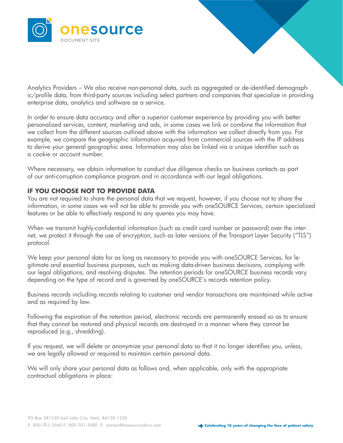

Analytics Providers – We also receive non-personal data, such as aggregated or de-identified demographic/profile data, from third-party sources including select partners and companies that specialize in providing enterprise data, analytics and software as a service.

In order to ensure data accuracy and offer a superior customer experience by providing you with better personalized services, content, marketing and ads, in some cases we link or combine the information that we collect from the different sources outlined above with the information we collect directly from you. For example, we compare the geographic information acquired from commercial sources with the IP address to derive your general geographic area. Information may also be linked via a unique identifier such as a cookie or account number.

Where necessary, we obtain information to conduct due diligence checks on business contacts as part of our anti-corruption compliance program and in accordance with our legal obligations.

# **IF YOU CHOOSE NOT TO PROVIDE DATA**

You are not required to share the personal data that we request, however, if you choose not to share the information, in some cases we will not be able to provide you with oneSOURCE Services, certain specialized features or be able to effectively respond to any queries you may have.

When we transmit highly-confidential information (such as credit card number or password) over the internet, we protect it through the use of encryption, such as later versions of the Transport Layer Security ("TLS") protocol.

We keep your personal data for as long as necessary to provide you with oneSOURCE Services, for legitimate and essential business purposes, such as making data-driven business decisions, complying with our legal obligations, and resolving disputes. The retention periods for oneSOURCE business records vary depending on the type of record and is governed by oneSOURCE's records retention policy.

Business records including records relating to customer and vendor transactions are maintained while active and as required by law.

Following the expiration of the retention period, electronic records are permanently erased so as to ensure that they cannot be restored and physical records are destroyed in a manner where they cannot be reproduced (e.g., shredding).

If you request, we will delete or anonymize your personal data so that it no longer identifies you, unless, we are legally allowed or required to maintain certain personal data.

We will only share your personal data as follows and, when applicable, only with the appropriate contractual obligations in place: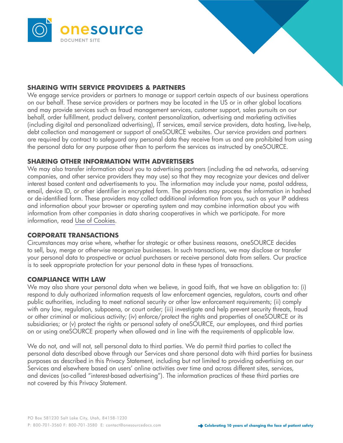



# **SHARING WITH SERVICE PROVIDERS & PARTNERS**

We engage service providers or partners to manage or support certain aspects of our business operations on our behalf. These service providers or partners may be located in the US or in other global locations and may provide services such as fraud management services, customer support, sales pursuits on our behalf, order fulfillment, product delivery, content personalization, advertising and marketing activities (including digital and personalized advertising), IT services, email service providers, data hosting, live-help, debt collection and management or support of oneSOURCE websites. Our service providers and partners are required by contract to safeguard any personal data they receive from us and are prohibited from using the personal data for any purpose other than to perform the services as instructed by oneSOURCE.

# **SHARING OTHER INFORMATION WITH ADVERTISERS**

We may also transfer information about you to advertising partners (including the ad networks, ad-serving companies, and other service providers they may use) so that they may recognize your devices and deliver interest based content and advertisements to you. The information may include your name, postal address, email, device ID, or other identifier in encrypted form. The providers may process the information in hashed or de-identified form. These providers may collect additional information from you, such as your IP address and information about your browser or operating system and may combine information about you with information from other companies in data sharing cooperatives in which we participate. For more information, read [Use of Cookies](#page-5-0).

## **CORPORATE TRANSACTIONS**

Circumstances may arise where, whether for strategic or other business reasons, oneSOURCE decides to sell, buy, merge or otherwise reorganize businesses. In such transactions, we may disclose or transfer your personal data to prospective or actual purchasers or receive personal data from sellers. Our practice is to seek appropriate protection for your personal data in these types of transactions.

## **COMPLIANCE WITH LAW**

We may also share your personal data when we believe, in good faith, that we have an obligation to: (i) respond to duly authorized information requests of law enforcement agencies, regulators, courts and other public authorities, including to meet national security or other law enforcement requirements; (ii) comply with any law, regulation, subpoena, or court order; (iii) investigate and help prevent security threats, fraud or other criminal or malicious activity; (iv) enforce/protect the rights and properties of oneSOURCE or its subsidiaries; or (v) protect the rights or personal safety of oneSOURCE, our employees, and third parties on or using oneSOURCE property when allowed and in line with the requirements of applicable law.

We do not, and will not, sell personal data to third parties. We do permit third parties to collect the personal data described above through our Services and share personal data with third parties for business purposes as described in this Privacy Statement, including but not limited to providing advertising on our Services and elsewhere based on users' online activities over time and across different sites, services, and devices (so-called "interest-based advertising"). The information practices of these third parties are not covered by this Privacy Statement.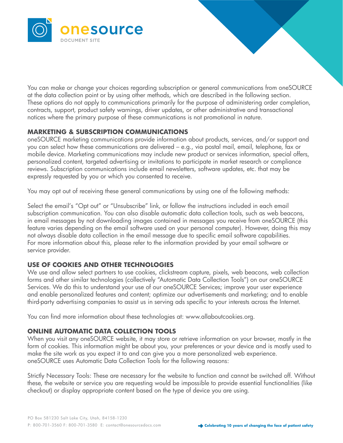<span id="page-5-0"></span>

You can make or change your choices regarding subscription or general communications from oneSOURCE at the data collection point or by using other methods, which are described in the following section. These options do not apply to communications primarily for the purpose of administering order completion, contracts, support, product safety warnings, driver updates, or other administrative and transactional notices where the primary purpose of these communications is not promotional in nature.

# **MARKETING & SUBSCRIPTION COMMUNICATIONS**

oneSOURCE marketing communications provide information about products, services, and/or support and you can select how these communications are delivered – e.g., via postal mail, email, telephone, fax or mobile device. Marketing communications may include new product or services information, special offers, personalized content, targeted advertising or invitations to participate in market research or compliance reviews. Subscription communications include email newsletters, software updates, etc. that may be expressly requested by you or which you consented to receive.

You may opt out of receiving these general communications by using one of the following methods:

Select the email's "Opt out" or "Unsubscribe" link, or follow the instructions included in each email subscription communication. You can also disable automatic data collection tools, such as web beacons, in email messages by not downloading images contained in messages you receive from oneSOURCE (this feature varies depending on the email software used on your personal computer). However, doing this may not always disable data collection in the email message due to specific email software capabilities. For more information about this, please refer to the information provided by your email software or service provider.

# **USE OF COOKIES AND OTHER TECHNOLOGIES**

We use and allow select partners to use cookies, clickstream capture, pixels, web beacons, web collection forms and other similar technologies (collectively "Automatic Data Collection Tools") on our oneSOURCE Services. We do this to understand your use of our oneSOURCE Services; improve your user experience and enable personalized features and content; optimize our advertisements and marketing; and to enable third-party advertising companies to assist us in serving ads specific to your interests across the Internet.

You can find more information about these technologies at: www.allaboutcookies.org.

## **ONLINE AUTOMATIC DATA COLLECTION TOOLS**

When you visit any oneSOURCE website, it may store or retrieve information on your browser, mostly in the form of cookies. This information might be about you, your preferences or your device and is mostly used to make the site work as you expect it to and can give you a more personalized web experience. oneSOURCE uses Automatic Data Collection Tools for the following reasons:

Strictly Necessary Tools: These are necessary for the website to function and cannot be switched off. Without these, the website or service you are requesting would be impossible to provide essential functionalities (like checkout) or display appropriate content based on the type of device you are using.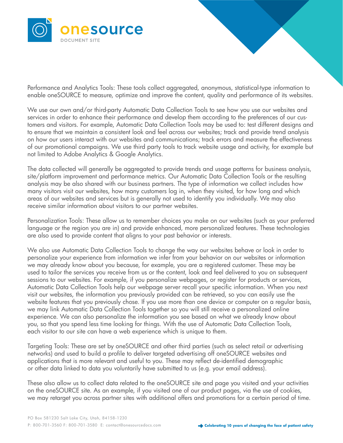

Performance and Analytics Tools: These tools collect aggregated, anonymous, statistical-type information to enable oneSOURCE to measure, optimize and improve the content, quality and performance of its websites.

We use our own and/or third-party Automatic Data Collection Tools to see how you use our websites and services in order to enhance their performance and develop them according to the preferences of our customers and visitors. For example, Automatic Data Collection Tools may be used to: test different designs and to ensure that we maintain a consistent look and feel across our websites; track and provide trend analysis on how our users interact with our websites and communications; track errors and measure the effectiveness of our promotional campaigns. We use third party tools to track website usage and activity, for example but not limited to Adobe Analytics & Google Analytics.

The data collected will generally be aggregated to provide trends and usage patterns for business analysis, site/platform improvement and performance metrics. Our Automatic Data Collection Tools or the resulting analysis may be also shared with our business partners. The type of information we collect includes how many visitors visit our websites, how many customers log in, when they visited, for how long and which areas of our websites and services but is generally not used to identify you individually. We may also receive similar information about visitors to our partner websites.

Personalization Tools: These allow us to remember choices you make on our websites (such as your preferred language or the region you are in) and provide enhanced, more personalized features. These technologies are also used to provide content that aligns to your past behavior or interests.

We also use Automatic Data Collection Tools to change the way our websites behave or look in order to personalize your experience from information we infer from your behavior on our websites or information we may already know about you because, for example, you are a registered customer. These may be used to tailor the services you receive from us or the content, look and feel delivered to you on subsequent sessions to our websites. For example, if you personalize webpages, or register for products or services, Automatic Data Collection Tools help our webpage server recall your specific information. When you next visit our websites, the information you previously provided can be retrieved, so you can easily use the website features that you previously chose. If you use more than one device or computer on a regular basis, we may link Automatic Data Collection Tools together so you will still receive a personalized online experience. We can also personalize the information you see based on what we already know about you, so that you spend less time looking for things. With the use of Automatic Data Collection Tools, each visitor to our site can have a web experience which is unique to them.

Targeting Tools: These are set by oneSOURCE and other third parties (such as select retail or advertising networks) and used to build a profile to deliver targeted advertising off oneSOURCE websites and applications that is more relevant and useful to you. These may reflect de-identified demographic or other data linked to data you voluntarily have submitted to us (e.g. your email address).

These also allow us to collect data related to the oneSOURCE site and page you visited and your activities on the oneSOURCE site. As an example, if you visited one of our product pages, via the use of cookies, we may retarget you across partner sites with additional offers and promotions for a certain period of time.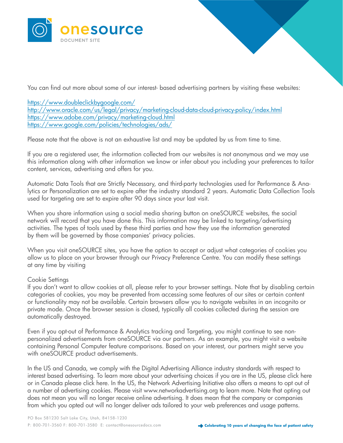

You can find out more about some of our interest- based advertising partners by visiting these websites:

[https://www.doubleclickbygoogle.com/](https://www.doubleclickbygoogle.com/
) [http://www.oracle.com/us/legal/privacy/marketing-cloud-data-cloud-privacy-policy/index.html](http://www.oracle.com/us/legal/privacy/marketing-cloud-data-cloud-privacy-policy/index.html ) [https://www.adobe.com/privacy/marketing-cloud.html](https://www.adobe.com/privacy/marketing-cloud.html ) [https://www.google.com/policies/technologies/ads/](https://www.google.com/policies/technologies/ads/ )

Please note that the above is not an exhaustive list and may be updated by us from time to time.

If you are a registered user, the information collected from our websites is not anonymous and we may use this information along with other information we know or infer about you including your preferences to tailor content, services, advertising and offers for you.

Automatic Data Tools that are Strictly Necessary, and third-party technologies used for Performance & Analytics or Personalization are set to expire after the industry standard 2 years. Automatic Data Collection Tools used for targeting are set to expire after 90 days since your last visit.

When you share information using a social media sharing button on oneSOURCE websites, the social network will record that you have done this. This information may be linked to targeting/advertising activities. The types of tools used by these third parties and how they use the information generated by them will be governed by those companies' privacy policies.

When you visit oneSOURCE sites, you have the option to accept or adjust what categories of cookies you allow us to place on your browser through our Privacy Preference Centre. You can modify these settings at any time by visiting

## Cookie Settings

If you don't want to allow cookies at all, please refer to your browser settings. Note that by disabling certain categories of cookies, you may be prevented from accessing some features of our sites or certain content or functionality may not be available. Certain browsers allow you to navigate websites in an incognito or private mode. Once the browser session is closed, typically all cookies collected during the session are automatically destroyed.

Even if you opt-out of Performance & Analytics tracking and Targeting, you might continue to see nonpersonalized advertisements from oneSOURCE via our partners. As an example, you might visit a website containing Personal Computer feature comparisons. Based on your interest, our partners might serve you with oneSOURCE product advertisements.

In the US and Canada, we comply with the Digital Advertising Alliance industry standards with respect to interest based advertising. To learn more about your advertising choices if you are in the US, please click here or in Canada please click here. In the US, the Network Advertising Initiative also offers a means to opt out of a number of advertising cookies. Please visit www.networkadvertising.org to learn more. Note that opting out does not mean you will no longer receive online advertising. It does mean that the company or companies from which you opted out will no longer deliver ads tailored to your web preferences and usage patterns.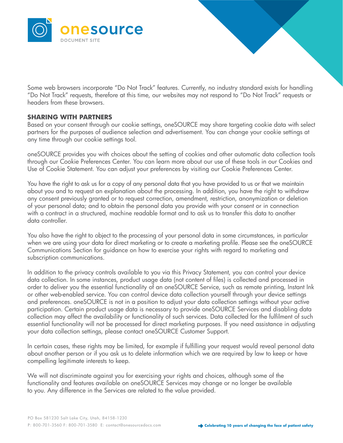

Some web browsers incorporate "Do Not Track" features. Currently, no industry standard exists for handling "Do Not Track" requests, therefore at this time, our websites may not respond to "Do Not Track" requests or headers from these browsers.

# **SHARING WITH PARTNERS**

Based on your consent through our cookie settings, oneSOURCE may share targeting cookie data with select partners for the purposes of audience selection and advertisement. You can change your cookie settings at any time through our cookie settings tool.

oneSOURCE provides you with choices about the setting of cookies and other automatic data collection tools through our Cookie Preferences Center. You can learn more about our use of these tools in our Cookies and Use of Cookie Statement. You can adjust your preferences by visiting our Cookie Preferences Center.

You have the right to ask us for a copy of any personal data that you have provided to us or that we maintain about you and to request an explanation about the processing. In addition, you have the right to withdraw any consent previously granted or to request correction, amendment, restriction, anonymization or deletion of your personal data; and to obtain the personal data you provide with your consent or in connection with a contract in a structured, machine readable format and to ask us to transfer this data to another data controller.

You also have the right to object to the processing of your personal data in some circumstances, in particular when we are using your data for direct marketing or to create a marketing profile. Please see the oneSOURCE Communications Section for guidance on how to exercise your rights with regard to marketing and subscription communications.

In addition to the privacy controls available to you via this Privacy Statement, you can control your device data collection. In some instances, product usage data (not content of files) is collected and processed in order to deliver you the essential functionality of an oneSOURCE Service, such as remote printing, Instant Ink or other web-enabled service. You can control device data collection yourself through your device settings and preferences. oneSOURCE is not in a position to adjust your data collection settings without your active participation. Certain product usage data is necessary to provide oneSOURCE Services and disabling data collection may affect the availability or functionality of such services. Data collected for the fulfilment of such essential functionality will not be processed for direct marketing purposes. If you need assistance in adjusting your data collection settings, please contact oneSOURCE Customer Support.

In certain cases, these rights may be limited, for example if fulfilling your request would reveal personal data about another person or if you ask us to delete information which we are required by law to keep or have compelling legitimate interests to keep.

We will not discriminate against you for exercising your rights and choices, although some of the functionality and features available on oneSOURCE Services may change or no longer be available to you. Any difference in the Services are related to the value provided.